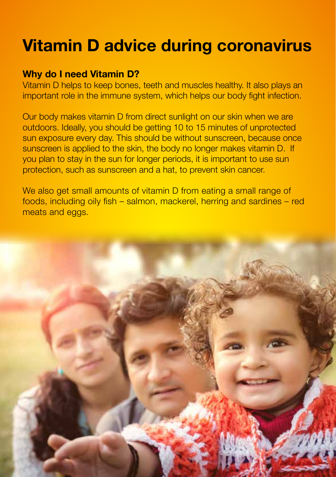## **Vitamin D advice during coronavirus**

## **Why do I need Vitamin D?**

Vitamin D helps to keep bones, teeth and muscles healthy. It also plays an important role in the immune system, which helps our body fight infection.

Our body makes vitamin D from direct sunlight on our skin when we are outdoors. Ideally, you should be getting 10 to 15 minutes of unprotected sun exposure every day. This should be without sunscreen, because once sunscreen is applied to the skin, the body no longer makes vitamin D. If you plan to stay in the sun for longer periods, it is important to use sun protection, such as sunscreen and a hat, to prevent skin cancer.

We also get small amounts of vitamin D from eating a small range of foods, including oily fish – salmon, mackerel, herring and sardines – red meats and eggs.